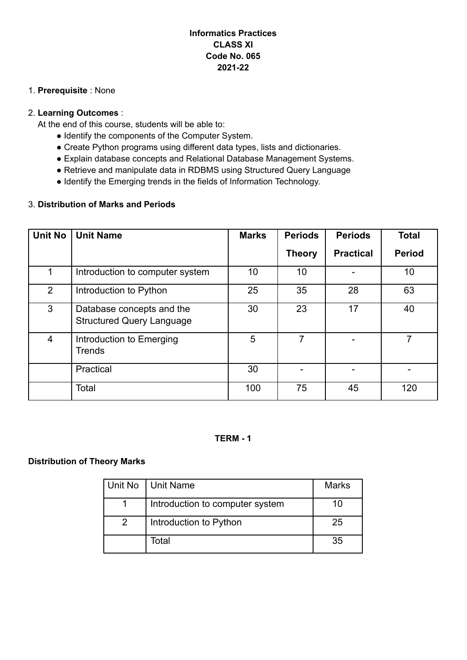## **Informatics Practices CLASS XI Code No. 065 2021-22**

#### 1. **Prerequisite** : None

#### 2. **Learning Outcomes** :

At the end of this course, students will be able to:

- Identify the components of the Computer System.
- Create Python programs using different data types, lists and dictionaries.
- Explain database concepts and Relational Database Management Systems.
- Retrieve and manipulate data in RDBMS using Structured Query Language
- Identify the Emerging trends in the fields of Information Technology.

### 3. **Distribution of Marks and Periods**

| <b>Unit No</b> | <b>Unit Name</b>                                              | <b>Marks</b> | <b>Periods</b> | <b>Periods</b>   | <b>Total</b>  |
|----------------|---------------------------------------------------------------|--------------|----------------|------------------|---------------|
|                |                                                               |              | <b>Theory</b>  | <b>Practical</b> | <b>Period</b> |
| 1              | Introduction to computer system                               | 10           | 10             |                  | 10            |
| 2              | Introduction to Python                                        | 25           | 35             | 28               | 63            |
| 3              | Database concepts and the<br><b>Structured Query Language</b> | 30           | 23             | 17               | 40            |
| 4              | Introduction to Emerging<br><b>Trends</b>                     | 5            | 7              |                  |               |
|                | Practical                                                     | 30           |                |                  |               |
|                | Total                                                         | 100          | 75             | 45               | 120           |

#### **TERM - 1**

#### **Distribution of Theory Marks**

| Unit No       | Unit Name                       | <b>Marks</b> |
|---------------|---------------------------------|--------------|
|               | Introduction to computer system | 10           |
| $\mathcal{P}$ | Introduction to Python          | 25           |
|               | Total                           | 35           |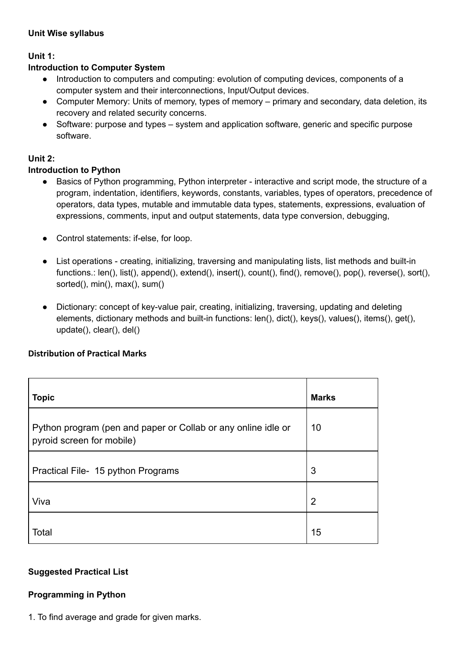#### **Unit Wise syllabus**

## **Unit 1:**

### **Introduction to Computer System**

- Introduction to computers and computing: evolution of computing devices, components of a computer system and their interconnections, Input/Output devices.
- Computer Memory: Units of memory, types of memory primary and secondary, data deletion, its recovery and related security concerns.
- Software: purpose and types system and application software, generic and specific purpose software.

### **Unit 2:**

### **Introduction to Python**

- Basics of Python programming, Python interpreter interactive and script mode, the structure of a program, indentation, identifiers, keywords, constants, variables, types of operators, precedence of operators, data types, mutable and immutable data types, statements, expressions, evaluation of expressions, comments, input and output statements, data type conversion, debugging,
- Control statements: if-else, for loop.
- List operations creating, initializing, traversing and manipulating lists, list methods and built-in functions.: len(), list(), append(), extend(), insert(), count(), find(), remove(), pop(), reverse(), sort(), sorted(), min(), max(), sum()
- Dictionary: concept of key-value pair, creating, initializing, traversing, updating and deleting elements, dictionary methods and built-in functions: len(), dict(), keys(), values(), items(), get(), update(), clear(), del()

### **Distribution of Practical Marks**

| <b>Topic</b>                                                                               | <b>Marks</b>   |
|--------------------------------------------------------------------------------------------|----------------|
| Python program (pen and paper or Collab or any online idle or<br>pyroid screen for mobile) | 10             |
| Practical File- 15 python Programs                                                         | 3              |
| Viva                                                                                       | $\overline{2}$ |
| Total                                                                                      | 15             |

### **Suggested Practical List**

### **Programming in Python**

1. To find average and grade for given marks.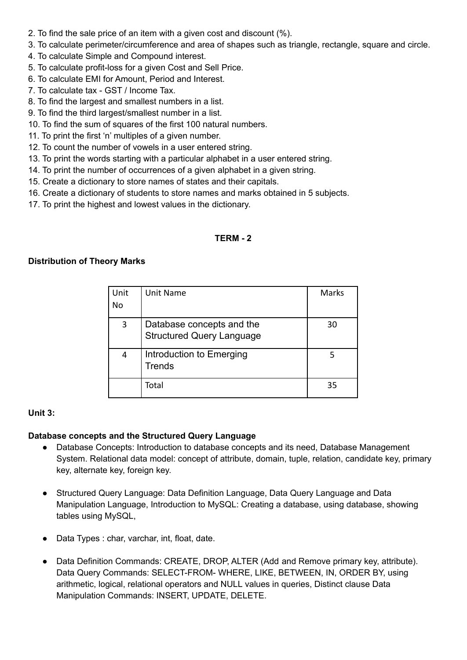- 2. To find the sale price of an item with a given cost and discount (%).
- 3. To calculate perimeter/circumference and area of shapes such as triangle, rectangle, square and circle.
- 4. To calculate Simple and Compound interest.
- 5. To calculate profit-loss for a given Cost and Sell Price.
- 6. To calculate EMI for Amount, Period and Interest.
- 7. To calculate tax GST / Income Tax.
- 8. To find the largest and smallest numbers in a list.
- 9. To find the third largest/smallest number in a list.
- 10. To find the sum of squares of the first 100 natural numbers.
- 11. To print the first 'n' multiples of a given number.
- 12. To count the number of vowels in a user entered string.
- 13. To print the words starting with a particular alphabet in a user entered string.
- 14. To print the number of occurrences of a given alphabet in a given string.
- 15. Create a dictionary to store names of states and their capitals.
- 16. Create a dictionary of students to store names and marks obtained in 5 subjects.
- 17. To print the highest and lowest values in the dictionary.

#### **TERM - 2**

#### **Distribution of Theory Marks**

| Unit | Unit Name                                                     | <b>Marks</b> |
|------|---------------------------------------------------------------|--------------|
| No   |                                                               |              |
| 3    | Database concepts and the<br><b>Structured Query Language</b> | 30           |
| 4    | Introduction to Emerging<br><b>Trends</b>                     |              |
|      | Total                                                         | 35           |

#### **Unit 3:**

#### **Database concepts and the Structured Query Language**

- Database Concepts: Introduction to database concepts and its need, Database Management System. Relational data model: concept of attribute, domain, tuple, relation, candidate key, primary key, alternate key, foreign key.
- Structured Query Language: Data Definition Language, Data Query Language and Data Manipulation Language, Introduction to MySQL: Creating a database, using database, showing tables using MySQL,
- Data Types : char, varchar, int, float, date.
- Data Definition Commands: CREATE, DROP, ALTER (Add and Remove primary key, attribute). Data Query Commands: SELECT-FROM- WHERE, LIKE, BETWEEN, IN, ORDER BY, using arithmetic, logical, relational operators and NULL values in queries, Distinct clause Data Manipulation Commands: INSERT, UPDATE, DELETE.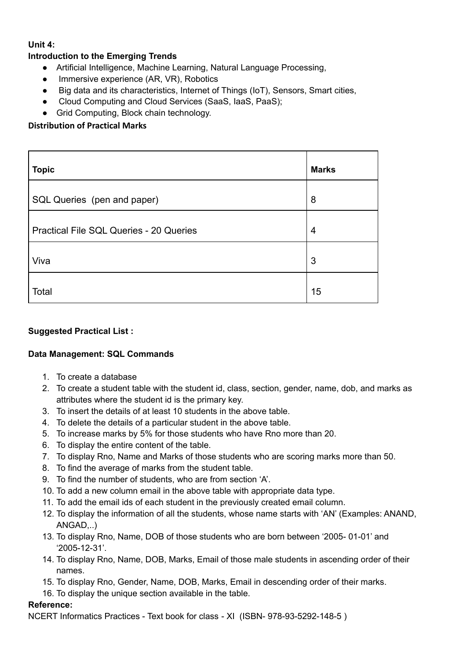#### **Unit 4:**

### **Introduction to the Emerging Trends**

- Artificial Intelligence, Machine Learning, Natural Language Processing,
- Immersive experience (AR, VR), Robotics
- Big data and its characteristics, Internet of Things (IoT), Sensors, Smart cities,
- Cloud Computing and Cloud Services (SaaS, IaaS, PaaS);
- Grid Computing, Block chain technology.

### **Distribution of Practical Marks**

| <b>Topic</b>                            | <b>Marks</b> |
|-----------------------------------------|--------------|
| SQL Queries (pen and paper)             | 8            |
| Practical File SQL Queries - 20 Queries | 4            |
| Viva                                    | 3            |
| Total                                   | 15           |

### **Suggested Practical List :**

### **Data Management: SQL Commands**

- 1. To create a database
- 2. To create a student table with the student id, class, section, gender, name, dob, and marks as attributes where the student id is the primary key.
- 3. To insert the details of at least 10 students in the above table.
- 4. To delete the details of a particular student in the above table.
- 5. To increase marks by 5% for those students who have Rno more than 20.
- 6. To display the entire content of the table.
- 7. To display Rno, Name and Marks of those students who are scoring marks more than 50.
- 8. To find the average of marks from the student table.
- 9. To find the number of students, who are from section 'A'.
- 10. To add a new column email in the above table with appropriate data type.
- 11. To add the email ids of each student in the previously created email column.
- 12. To display the information of all the students, whose name starts with 'AN' (Examples: ANAND, ANGAD,..)
- 13. To display Rno, Name, DOB of those students who are born between '2005- 01-01' and '2005-12-31'.
- 14. To display Rno, Name, DOB, Marks, Email of those male students in ascending order of their names.
- 15. To display Rno, Gender, Name, DOB, Marks, Email in descending order of their marks.
- 16. To display the unique section available in the table.

#### **Reference:**

NCERT Informatics Practices - Text book for class - XI (ISBN- 978-93-5292-148-5 )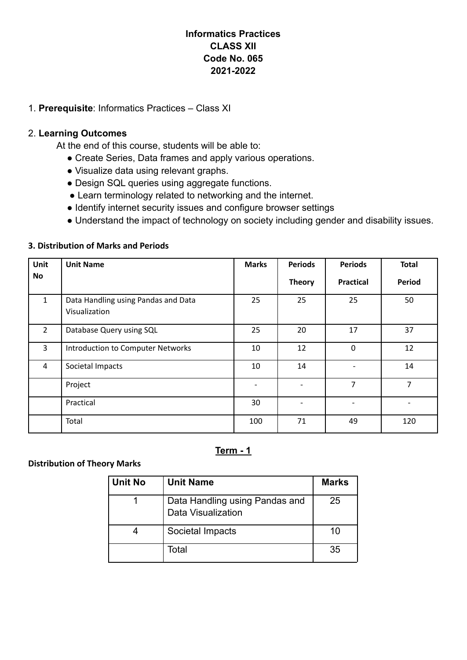# **Informatics Practices CLASS XII Code No. 065 2021-2022**

### 1. **Prerequisite**: Informatics Practices – Class XI

### 2. **Learning Outcomes**

At the end of this course, students will be able to:

- Create Series, Data frames and apply various operations.
- Visualize data using relevant graphs.
- Design SQL queries using aggregate functions.
- Learn terminology related to networking and the internet.
- Identify internet security issues and configure browser settings
- Understand the impact of technology on society including gender and disability issues.

### **3. Distribution of Marks and Periods**

| Unit           | <b>Unit Name</b>                                     | <b>Marks</b>             | <b>Periods</b> | <b>Periods</b>   | <b>Total</b>   |
|----------------|------------------------------------------------------|--------------------------|----------------|------------------|----------------|
| No             |                                                      |                          | <b>Theory</b>  | <b>Practical</b> | Period         |
| $\mathbf{1}$   | Data Handling using Pandas and Data<br>Visualization | 25                       | 25             | 25               | 50             |
| $\overline{2}$ | Database Query using SQL                             | 25                       | 20             | 17               | 37             |
| 3              | Introduction to Computer Networks                    | 10                       | 12             | $\mathbf 0$      | 12             |
| 4              | Societal Impacts                                     | 10                       | 14             |                  | 14             |
|                | Project                                              | $\overline{\phantom{0}}$ |                | 7                | $\overline{7}$ |
|                | Practical                                            | 30                       |                |                  |                |
|                | Total                                                | 100                      | 71             | 49               | 120            |

**Term - 1**

### **Distribution of Theory Marks**

| Unit No | <b>Unit Name</b>                                     | <b>Marks</b> |
|---------|------------------------------------------------------|--------------|
|         | Data Handling using Pandas and<br>Data Visualization | 25           |
|         | Societal Impacts                                     | 10           |
|         | Total                                                | 35           |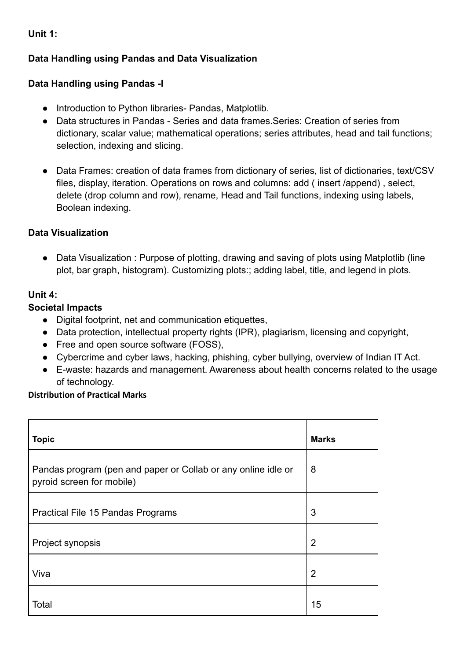**Unit 1:**

# **Data Handling using Pandas and Data Visualization**

# **Data Handling using Pandas -I**

- Introduction to Python libraries- Pandas, Matplotlib.
- Data structures in Pandas Series and data frames.Series: Creation of series from dictionary, scalar value; mathematical operations; series attributes, head and tail functions; selection, indexing and slicing.
- Data Frames: creation of data frames from dictionary of series, list of dictionaries, text/CSV files, display, iteration. Operations on rows and columns: add ( insert /append) , select, delete (drop column and row), rename, Head and Tail functions, indexing using labels, Boolean indexing.

# **Data Visualization**

• Data Visualization : Purpose of plotting, drawing and saving of plots using Matplotlib (line plot, bar graph, histogram). Customizing plots:; adding label, title, and legend in plots.

# **Unit 4:**

# **Societal Impacts**

- Digital footprint, net and communication etiquettes,
- Data protection, intellectual property rights (IPR), plagiarism, licensing and copyright,
- Free and open source software (FOSS),
- Cybercrime and cyber laws, hacking, phishing, cyber bullying, overview of Indian IT Act.
- E-waste: hazards and management. Awareness about health concerns related to the usage of technology.

## **Distribution of Practical Marks**

| <b>Topic</b>                                                                               | <b>Marks</b>   |
|--------------------------------------------------------------------------------------------|----------------|
| Pandas program (pen and paper or Collab or any online idle or<br>pyroid screen for mobile) | 8              |
| Practical File 15 Pandas Programs                                                          | 3              |
| Project synopsis                                                                           | $\overline{2}$ |
| Viva                                                                                       | $\overline{2}$ |
| Total                                                                                      | 15             |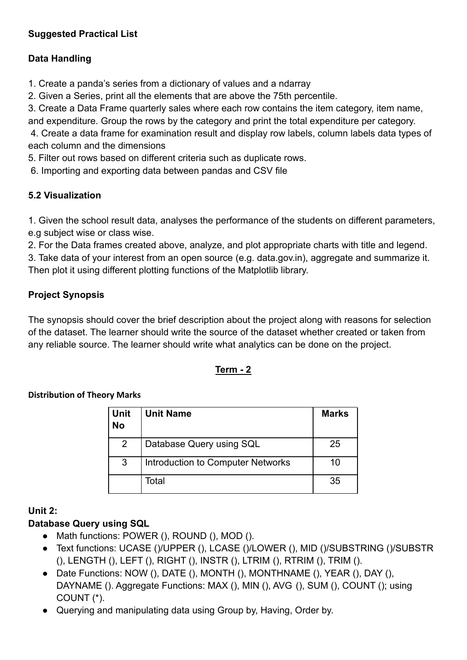# **Suggested Practical List**

# **Data Handling**

1. Create a panda's series from a dictionary of values and a ndarray

2. Given a Series, print all the elements that are above the 75th percentile.

3. Create a Data Frame quarterly sales where each row contains the item category, item name, and expenditure. Group the rows by the category and print the total expenditure per category.

4. Create a data frame for examination result and display row labels, column labels data types of each column and the dimensions

5. Filter out rows based on different criteria such as duplicate rows.

6. Importing and exporting data between pandas and CSV file

# **5.2 Visualization**

1. Given the school result data, analyses the performance of the students on different parameters, e.g subject wise or class wise.

2. For the Data frames created above, analyze, and plot appropriate charts with title and legend. 3. Take data of your interest from an open source (e.g. data.gov.in), aggregate and summarize it. Then plot it using different plotting functions of the Matplotlib library.

# **Project Synopsis**

The synopsis should cover the brief description about the project along with reasons for selection of the dataset. The learner should write the source of the dataset whether created or taken from any reliable source. The learner should write what analytics can be done on the project.

# **Term - 2**

## **Distribution of Theory Marks**

| Unit<br>No     | <b>Unit Name</b>                         | <b>Marks</b> |
|----------------|------------------------------------------|--------------|
| $\overline{2}$ | Database Query using SQL                 | 25           |
| 3              | <b>Introduction to Computer Networks</b> | 10           |
|                | Total                                    | 35           |

# **Unit 2:**

# **Database Query using SQL**

- Math functions: POWER (), ROUND (), MOD (),
- Text functions: UCASE ()/UPPER (), LCASE ()/LOWER (), MID ()/SUBSTRING ()/SUBSTR (), LENGTH (), LEFT (), RIGHT (), INSTR (), LTRIM (), RTRIM (), TRIM ().
- Date Functions: NOW (), DATE (), MONTH (), MONTHNAME (), YEAR (), DAY (), DAYNAME (). Aggregate Functions: MAX (), MIN (), AVG (), SUM (), COUNT (); using COUNT (\*).
- Querying and manipulating data using Group by, Having, Order by.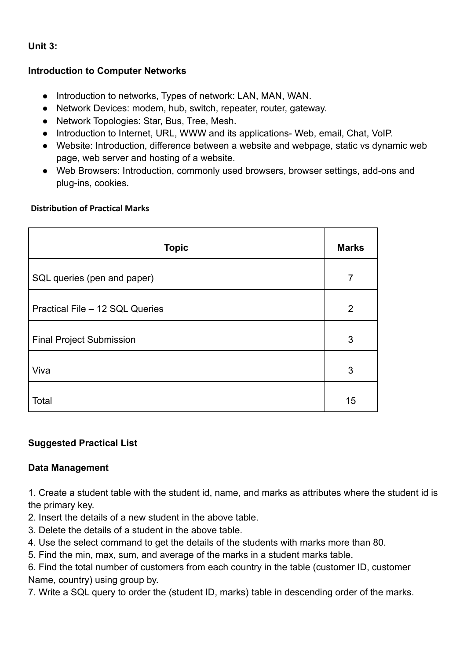# **Unit 3:**

## **Introduction to Computer Networks**

- Introduction to networks, Types of network: LAN, MAN, WAN.
- Network Devices: modem, hub, switch, repeater, router, gateway.
- Network Topologies: Star, Bus, Tree, Mesh.
- Introduction to Internet, URL, WWW and its applications- Web, email, Chat, VoIP.
- Website: Introduction, difference between a website and webpage, static vs dynamic web page, web server and hosting of a website.
- Web Browsers: Introduction, commonly used browsers, browser settings, add-ons and plug-ins, cookies.

## **Distribution of Practical Marks**

| <b>Topic</b>                    | <b>Marks</b> |
|---------------------------------|--------------|
| SQL queries (pen and paper)     | 7            |
| Practical File - 12 SQL Queries | 2            |
| <b>Final Project Submission</b> | 3            |
| Viva                            | 3            |
| Total                           | 15           |

# **Suggested Practical List**

## **Data Management**

1. Create a student table with the student id, name, and marks as attributes where the student id is the primary key.

- 2. Insert the details of a new student in the above table.
- 3. Delete the details of a student in the above table.
- 4. Use the select command to get the details of the students with marks more than 80.
- 5. Find the min, max, sum, and average of the marks in a student marks table.

6. Find the total number of customers from each country in the table (customer ID, customer Name, country) using group by.

7. Write a SQL query to order the (student ID, marks) table in descending order of the marks.